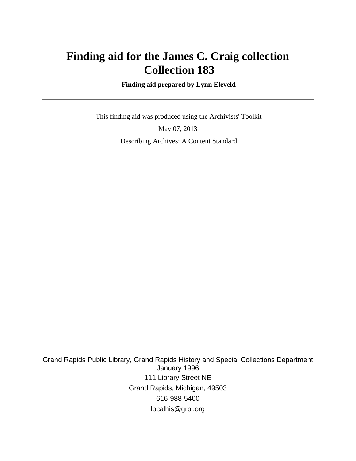# **Finding aid for the James C. Craig collection Collection 183**

 **Finding aid prepared by Lynn Eleveld**

 This finding aid was produced using the Archivists' Toolkit May 07, 2013 Describing Archives: A Content Standard

Grand Rapids Public Library, Grand Rapids History and Special Collections Department January 1996 111 Library Street NE Grand Rapids, Michigan, 49503 616-988-5400 localhis@grpl.org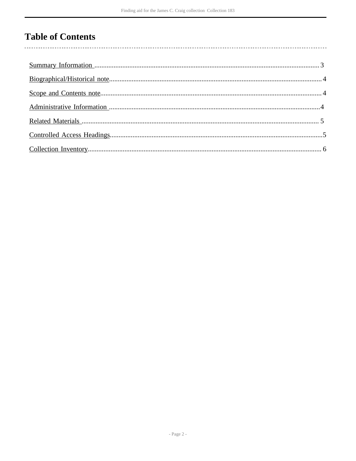# **Table of Contents**

 $\overline{\phantom{a}}$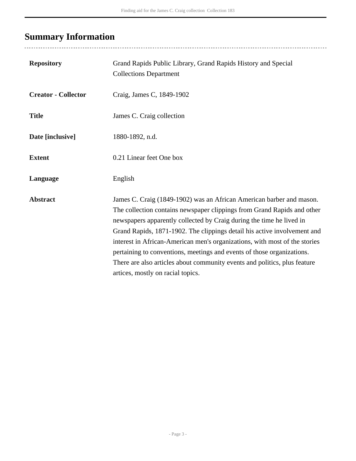# <span id="page-2-0"></span>**Summary Information**

| <b>Repository</b>          | Grand Rapids Public Library, Grand Rapids History and Special<br><b>Collections Department</b>                                                                                                                                                                                                                                                                                                                                                                                                                                                                                |
|----------------------------|-------------------------------------------------------------------------------------------------------------------------------------------------------------------------------------------------------------------------------------------------------------------------------------------------------------------------------------------------------------------------------------------------------------------------------------------------------------------------------------------------------------------------------------------------------------------------------|
| <b>Creator - Collector</b> | Craig, James C, 1849-1902                                                                                                                                                                                                                                                                                                                                                                                                                                                                                                                                                     |
| <b>Title</b>               | James C. Craig collection                                                                                                                                                                                                                                                                                                                                                                                                                                                                                                                                                     |
| Date [inclusive]           | 1880-1892, n.d.                                                                                                                                                                                                                                                                                                                                                                                                                                                                                                                                                               |
| <b>Extent</b>              | 0.21 Linear feet One box                                                                                                                                                                                                                                                                                                                                                                                                                                                                                                                                                      |
| Language                   | English                                                                                                                                                                                                                                                                                                                                                                                                                                                                                                                                                                       |
| <b>Abstract</b>            | James C. Craig (1849-1902) was an African American barber and mason.<br>The collection contains newspaper clippings from Grand Rapids and other<br>newspapers apparently collected by Craig during the time he lived in<br>Grand Rapids, 1871-1902. The clippings detail his active involvement and<br>interest in African-American men's organizations, with most of the stories<br>pertaining to conventions, meetings and events of those organizations.<br>There are also articles about community events and politics, plus feature<br>artices, mostly on racial topics. |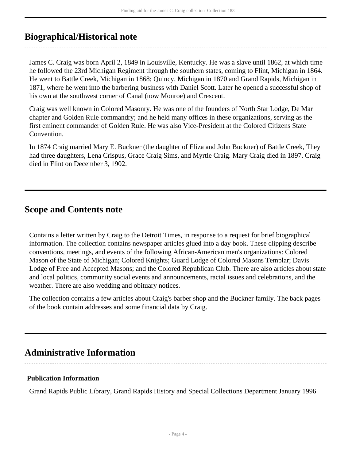## <span id="page-3-0"></span>**Biographical/Historical note**

James C. Craig was born April 2, 1849 in Louisville, Kentucky. He was a slave until 1862, at which time he followed the 23rd Michigan Regiment through the southern states, coming to Flint, Michigan in 1864. He went to Battle Creek, Michigan in 1868; Quincy, Michigan in 1870 and Grand Rapids, Michigan in 1871, where he went into the barbering business with Daniel Scott. Later he opened a successful shop of his own at the southwest corner of Canal (now Monroe) and Crescent.

Craig was well known in Colored Masonry. He was one of the founders of North Star Lodge, De Mar chapter and Golden Rule commandry; and he held many offices in these organizations, serving as the first eminent commander of Golden Rule. He was also Vice-President at the Colored Citizens State Convention.

In 1874 Craig married Mary E. Buckner (the daughter of Eliza and John Buckner) of Battle Creek, They had three daughters, Lena Crispus, Grace Craig Sims, and Myrtle Craig. Mary Craig died in 1897. Craig died in Flint on December 3, 1902.

### <span id="page-3-1"></span>**Scope and Contents note**

Contains a letter written by Craig to the Detroit Times, in response to a request for brief biographical information. The collection contains newspaper articles glued into a day book. These clipping describe conventions, meetings, and events of the following African-American men's organizations: Colored Mason of the State of Michigan; Colored Knights; Guard Lodge of Colored Masons Templar; Davis Lodge of Free and Accepted Masons; and the Colored Republican Club. There are also articles about state and local politics, community social events and announcements, racial issues and celebrations, and the weather. There are also wedding and obituary notices.

The collection contains a few articles about Craig's barber shop and the Buckner family. The back pages of the book contain addresses and some financial data by Craig.

## <span id="page-3-2"></span>**Administrative Information**

### **Publication Information**

Grand Rapids Public Library, Grand Rapids History and Special Collections Department January 1996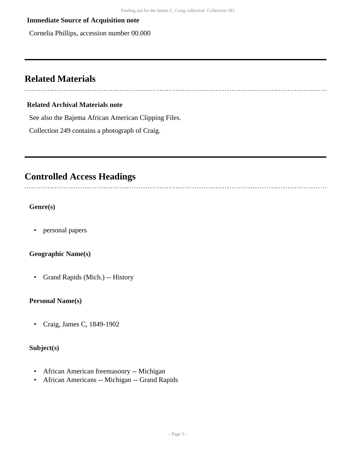#### **Immediate Source of Acquisition note**

Cornelia Phillips, accession number 00.000

### <span id="page-4-0"></span>**Related Materials**

#### **Related Archival Materials note**

See also the Bajema African American Clipping Files.

Collection 249 contains a photograph of Craig.

## <span id="page-4-1"></span>**Controlled Access Headings**

**Genre(s)**

• personal papers

#### **Geographic Name(s)**

• Grand Rapids (Mich.) -- History

#### **Personal Name(s)**

• Craig, James C, 1849-1902

### **Subject(s)**

- African American freemasonry -- Michigan
- African Americans -- Michigan -- Grand Rapids